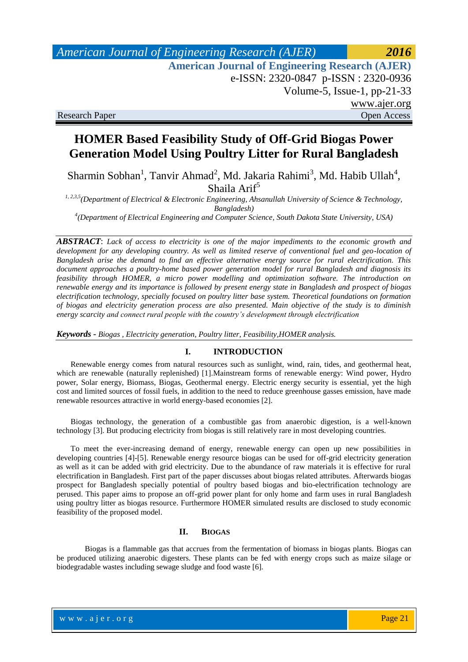# *American Journal of Engineering Research (AJER) 2016*  **American Journal of Engineering Research (AJER)** e-ISSN: 2320-0847 p-ISSN : 2320-0936 Volume-5, Issue-1, pp-21-33 www.ajer.org Research Paper Open Access

# **HOMER Based Feasibility Study of Off-Grid Biogas Power Generation Model Using Poultry Litter for Rural Bangladesh**

Sharmin Sobhan<sup>1</sup>, Tanvir Ahmad<sup>2</sup>, Md. Jakaria Rahimi<sup>3</sup>, Md. Habib Ullah<sup>4</sup>, Shaila  $Arif<sup>5</sup>$ 

*1, 2,3,5(Department of Electrical & Electronic Engineering, Ahsanullah University of Science & Technology, Bangladesh)*

*4 (Department of Electrical Engineering and Computer Science, South Dakota State University, USA)* 

*ABSTRACT*: *Lack of access to electricity is one of the major impediments to the economic growth and development for any developing country. As well as limited reserve of conventional fuel and geo-location of Bangladesh arise the demand to find an effective alternative energy source for rural electrification. This document approaches a poultry-home based power generation model for rural Bangladesh and diagnosis its feasibility through HOMER, a micro power modelling and optimization software. The introduction on renewable energy and its importance is followed by present energy state in Bangladesh and prospect of biogas electrification technology, specially focused on poultry litter base system. Theoretical foundations on formation of biogas and electricity generation process are also presented. Main objective of the study is to diminish energy scarcity and connect rural people with the country's development through electrification*

*Keywords - Biogas , Electricity generation, Poultry litter, Feasibility,HOMER analysis.*

## **I. INTRODUCTION**

Renewable energy comes from [natural resources](http://en.wikipedia.org/wiki/Natural_resource) such as [sunlight,](http://en.wikipedia.org/wiki/Sunlight) [wind,](http://en.wikipedia.org/wiki/Wind) [rain,](http://en.wikipedia.org/wiki/Rain) [tides,](http://en.wikipedia.org/wiki/Tidal_energy) and [geothermal heat,](http://en.wikipedia.org/wiki/Geothermal_energy) which are [renewable](http://en.wikipedia.org/wiki/Renewable_resource) (naturally replenished) [1].Mainstream forms of renewable energy: Wind power, Hydro power, Solar energy, Biomass, Biogas, Geothermal energy. Electric energy security is essential, yet the high cost and limited sources of fossil fuels, in addition to the need to reduce greenhouse gasses emission, have made renewable resources attractive in world energy-based economies [2].

Biogas technology, the generation of a combustible gas from anaerobic digestion, is a well-known technology [3]. But producing electricity from biogas is still relatively rare in most developing countries.

To meet the ever-increasing demand of energy, renewable energy can open up new possibilities in developing countries [4]-[5]. Renewable energy resource biogas can be used for off-grid electricity generation as well as it can be added with grid electricity. Due to the abundance of raw materials it is effective for rural electrification in Bangladesh. First part of the paper discusses about biogas related attributes. Afterwards biogas prospect for Bangladesh specially potential of poultry based biogas and bio-electrification technology are perused. This paper aims to propose an off-grid power plant for only home and farm uses in rural Bangladesh using poultry litter as biogas resource. Furthermore HOMER simulated results are disclosed to study economic feasibility of the proposed model.

### **II. BIOGAS**

Biogas is a flammable gas that accrues from the fermentation of biomass in biogas plants. Biogas can be produced utilizing anaerobic digesters. These plants can be fed with energy crops such as maize silage or [biodegradable wastes](http://en.wikipedia.org/wiki/Biodegradable_waste) including sewage sludge and food waste [6].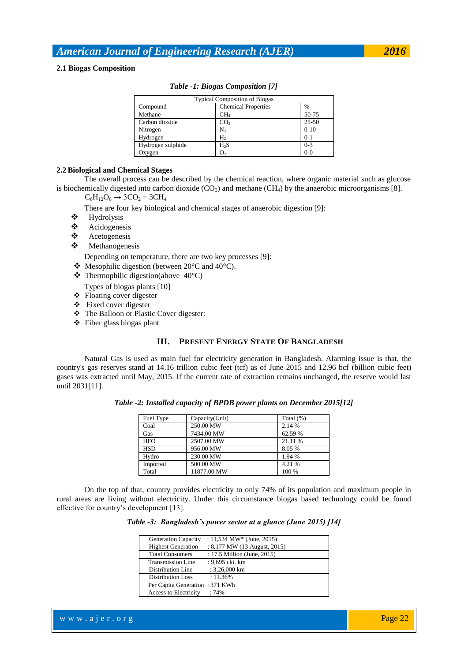### **2.1 Biogas Composition**

| <b>Typical Composition of Biogas</b> |                            |         |  |  |  |  |
|--------------------------------------|----------------------------|---------|--|--|--|--|
| Compound                             | <b>Chemical Properties</b> | $\%$    |  |  |  |  |
| Methane                              | CH <sub>4</sub>            | 50-75   |  |  |  |  |
| Carbon dioxide                       | CO <sub>2</sub>            | 25-50   |  |  |  |  |
| Nitrogen                             | N,                         | $0-10$  |  |  |  |  |
| Hydrogen                             | H۰                         | $0-1$   |  |  |  |  |
| Hydrogen sulphide                    | H <sub>2</sub> S           | $0-3$   |  |  |  |  |
| Oxygen                               | О,                         | $0 - 0$ |  |  |  |  |

### *Table -1: Biogas Composition [7]*

## **2.2Biological and Chemical Stages**

The overall process can be described by the chemical reaction, where organic material such as glucose is biochemically digested into carbon dioxide (CO<sub>2</sub>) and methane (CH<sub>4</sub>) by the anaerobic microorganisms [8].

 $C_6H_{12}O_6 \rightarrow 3CO_2 + 3CH_4$ 

There are four key biological and chemical stages of anaerobic digestion [9]:

- $\begin{array}{cc}\n\text{\large $\stackrel{\ast}{\bullet}$} & \text{Hydrolysis}\n\end{array}$  $\begin{array}{cc}\n\text{\large $\stackrel{\ast}{\bullet}$} & \text{Hydrolysis}\n\end{array}$  $\begin{array}{cc}\n\text{\large $\stackrel{\ast}{\bullet}$} & \text{Hydrolysis}\n\end{array}$
- ❖ Acidogenesis<br>❖ Acetogenesis
- ❖ [Acetogenesis](http://en.wikipedia.org/wiki/Acetogenesis)<br>❖ Methanogene
- [Methanogenesis](http://en.wikipedia.org/wiki/Methanogenesis)

Depending on temperature, there are two key processes [9]:

- $\bullet$  [Mesophilic](http://en.wikipedia.org/wiki/Mesophilic) digestion (between 20°C and 40°C).
- $\div$  Thermophilic digestion(above 40°C)
- Types of biogas plants [10]
- Floating cover digester
- Fixed cover digester
- The Balloon or Plastic Cover digester:
- Fiber glass biogas plant

## **III. PRESENT ENERGY STATE OF BANGLADESH**

Natural Gas is used as main fuel for electricity generation in Bangladesh. Alarming issue is that, the country's gas reserves stand at 14.16 trillion cubic feet (tcf) as of June 2015 and 12.96 bcf (billion cubic feet) gases was extracted until May, 2015. If the current rate of extraction remains unchanged, the reserve would last until 2031[11].

| Table -2: Installed capacity of BPDB power plants on December 2015[12] |
|------------------------------------------------------------------------|
|------------------------------------------------------------------------|

| Fuel Type  | Capacity(Unit) | Total $(\%)$ |
|------------|----------------|--------------|
| Coal       | 250.00 MW      | 2.14 %       |
| Gas        | 7434.00 MW     | 62.59 %      |
| <b>HFO</b> | 2507.00 MW     | 21.11 %      |
| <b>HSD</b> | 956.00 MW      | 8.05 %       |
| Hydro      | 230.00 MW      | 1.94 %       |
| Imported   | 500.00 MW      | 4.21 %       |
| Total      | 11877.00 MW    | 100 %        |

On the top of that, country provides electricity to only 74% of its population and maximum people in rural areas are living without electricity. Under this circumstance biogas based technology could be found effective for country"s development [13].

|  |  | Table -3: Bangladesh's power sector at a glance (June 2015) [14] |  |  |  |  |
|--|--|------------------------------------------------------------------|--|--|--|--|
|--|--|------------------------------------------------------------------|--|--|--|--|

| <b>Generation Capacity</b>     | : $11,534$ MW* (June, 2015)  |
|--------------------------------|------------------------------|
| <b>Highest Generation</b>      | : 8,177 MW (13 August, 2015) |
| <b>Total Consumers</b>         | : 17.5 Million (June, 2015)  |
| <b>Transmission Line</b>       | : 9,695 ckt. km              |
| Distribution Line              | $: 3,26,000$ km              |
| <b>Distribution Loss</b>       | $: 11.36\%$                  |
| Per Capita Generation: 371 KWh |                              |
| Access to Electricity          | :74%                         |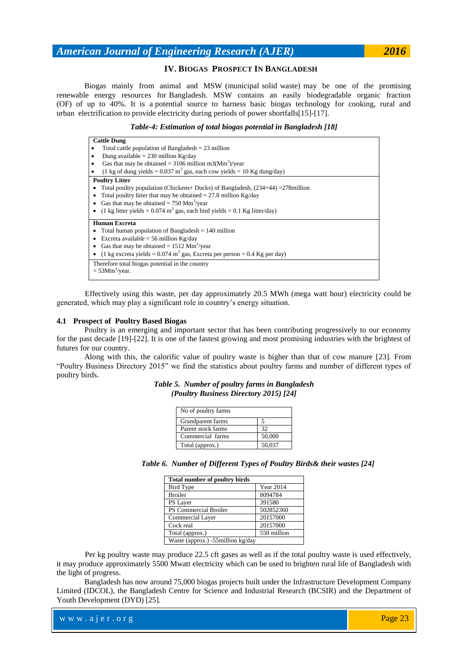### **IV. BIOGAS PROSPECT IN BANGLADESH**

Biogas mainly from animal and MSW (municipal solid waste) may be one of the promising renewable energy resources for Bangladesh. MSW contains an easily biodegradable organic fraction (OF) of up to 40%. It is a potential source to harness basic biogas technology for cooking, rural and urban electrification to provide electricity during periods of power shortfalls[15]-[17].

#### *Table-4: Estimation of total biogas potential in Bangladesh [18]*

#### **Cattle Dung**

- Total cattle population of Bangladesh  $= 23$  million
- Dung available =  $230$  million Kg/day
- Gas that may be obtained =  $3106$  million m3(Mm<sup>3</sup>)/year
- (1 kg of dung yields =  $0.037 \text{ m}^3$  gas, each cow yields = 10 Kg dung/day)

#### **Poultry Litter**

- Total poultry population (Chickens+ Ducks) of Bangladesh,  $(234+44) = 278$ million
- Total poultry litter that may be obtained  $= 27.8$  million Kg/day
- Gas that may be obtained  $= 750$  Mm<sup>3</sup>/year
- (1 kg litter yields =  $0.074 \text{ m}^3$  gas, each bird yields =  $0.1 \text{ Kg litter/day}$ )

#### **Human Excreta**

- Total human population of Bangladesh = 140 million
- Excreta available = 56 million Kg/day
- Gas that may be obtained =  $1512 \text{ Mm}^3/\text{year}$
- (1 kg excreta yields =  $0.074$  m<sup>3</sup> gas, Excreta per person =  $0.4$  Kg per day)
- Therefore total biogas potential in the country
- $=$  53Mm<sup>3</sup>/year.

Effectively using this waste, per day approximately 20.5 MWh (mega watt hour) electricity could be generated, which may play a significant role in country"s energy situation.

#### **4.1 Prospect of Poultry Based Biogas**

Poultry is an emerging and important sector that has been contributing progressively to our economy for the past decade [19]-[22]. It is one of the fastest growing and most promising industries with the brightest of futures for our country.

Along with this, the calorific value of poultry waste is higher than that of cow manure [23]. From "Poultry Business Directory 2015" we find the statistics about poultry farms and number of different types of poultry birds.

### *Table 5. Number of poultry farms in Bangladesh (Poultry Business Directory 2015) [24]*

| No of poultry farms |        |
|---------------------|--------|
| Grandparent farms   |        |
| Parent stock farms  | 32     |
| Commercial farms    | 50,000 |
| Total (approx.)     | 50,037 |

|  |  |  | Table 6. Number of Different Types of Poultry Birds& their wastes [24] |  |
|--|--|--|------------------------------------------------------------------------|--|
|  |  |  |                                                                        |  |

| <b>Total number of poultry birds</b> |                  |
|--------------------------------------|------------------|
| <b>Bird Type</b>                     | <b>Year 2014</b> |
| <b>Broiler</b>                       | 8094784          |
| PS Layer                             | 391580           |
| PS Commercial Broiler                | 502852360        |
| Commercial Layer                     | 20157000         |
| Cock real                            | 20157000         |
| Total (approx.)                      | 550 million      |
| Waste (approx.) -55million kg/day    |                  |

Per kg poultry waste may produce 22.5 cft gases as well as if the total poultry waste is used effectively, it may produce approximately 5500 Mwatt electricity which can be used to brighten rural life of Bangladesh with the light of progress.

Bangladesh has now around 75,000 biogas projects built under the Infrastructure Development Company Limited (IDCOL), the Bangladesh Centre for Science and Industrial Research (BCSIR) and the Department of Youth Development (DYD) [25].

| $\mathbf{w} \leq \mathbf{w} \leq \mathbf{w} \mathbf{w}$ . $\mathbf{a} \in \mathbf{r}$ . $\mathbf{o} \in \mathbf{g}$ | Page 23 |
|---------------------------------------------------------------------------------------------------------------------|---------|
|---------------------------------------------------------------------------------------------------------------------|---------|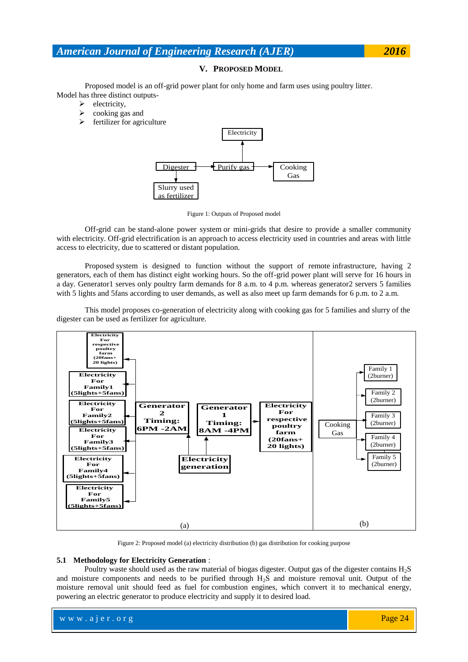### **V. PROPOSED MODEL**

Proposed model is an off-grid power plant for only home and farm uses using poultry litter. Model has three distinct outputs-

- $\blacktriangleright$  electricity,
- $\triangleright$  cooking gas and
- $\triangleright$  fertilizer for agriculture



Figure 1: Outputs of Proposed model

Off-grid can be [stand-alone power system](https://en.wikipedia.org/wiki/Stand-alone_power_system) or [mini-grids](https://en.wikipedia.org/w/index.php?title=Mini-grid&action=edit&redlink=1) that desire to provide a smaller community with electricity. Off-grid electrification is an approach to access electricity used in countries and areas with little access to electricity, due to scattered or distant population.

Proposed system is designed to function without the support of remote infrastructure, having 2 generators, each of them has distinct eight working hours. So the off-grid power plant will serve for 16 hours in a day. Generator1 serves only poultry farm demands for 8 a.m. to 4 p.m. whereas generator2 servers 5 families with 5 lights and 5fans according to user demands, as well as also meet up farm demands for 6 p.m. to 2 a.m.

This model proposes co-generation of electricity along with cooking gas for 5 families and slurry of the digester can be used as fertilizer for agriculture.



Figure 2: Proposed model (a) electricity distribution (b) gas distribution for cooking purpose

#### **5.1 Methodology for Electricity Generation** :

Poultry waste should used as the raw material of biogas digester. Output gas of the digester contains H2S and moisture components and needs to be purified through  $H_2S$  and moisture removal unit. Output of the moisture removal unit should feed as fuel for combustion engines, which convert it to mechanical energy, powering an electric generator to produce electricity and supply it to desired load.

www.ajer.org Page 24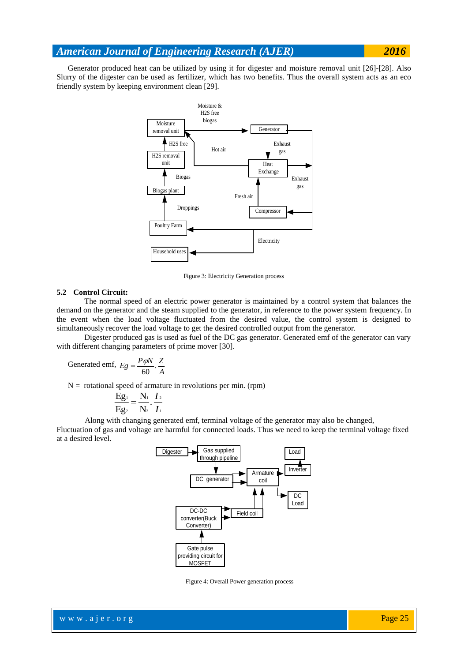Generator produced heat can be utilized by using it for digester and moisture removal unit [26]-[28]. Also Slurry of the digester can be used as fertilizer, which has two benefits. Thus the overall system acts as an eco friendly system by keeping environment clean [29].



Figure 3: Electricity Generation process

#### **5.2 Control Circuit:**

The normal speed of an electric power generator is maintained by a control system that balances the demand on the generator and the steam supplied to the generator, in reference to the power system frequency. In the event when the load voltage fluctuated from the desired value, the control system is designed to simultaneously recover the load voltage to get the desired controlled output from the generator.

Digester produced gas is used as fuel of the DC gas generator. Generated emf of the generator can vary with different changing parameters of prime mover [30].

$$
\text{Generaled emf, } Eg = \frac{P\phi N}{60} \cdot \frac{Z}{A}
$$

 $N =$  rotational speed of armature in revolutions per min. (rpm)

$$
\frac{Eg_1}{Eg_2} = \frac{N_1}{N_2} \cdot \frac{I_2}{I_1}
$$

Along with changing generated emf, terminal voltage of the generator may also be changed,

Fluctuation of gas and voltage are harmful for connected loads. Thus we need to keep the terminal voltage fixed at a desired level.



Figure 4: Overall Power generation process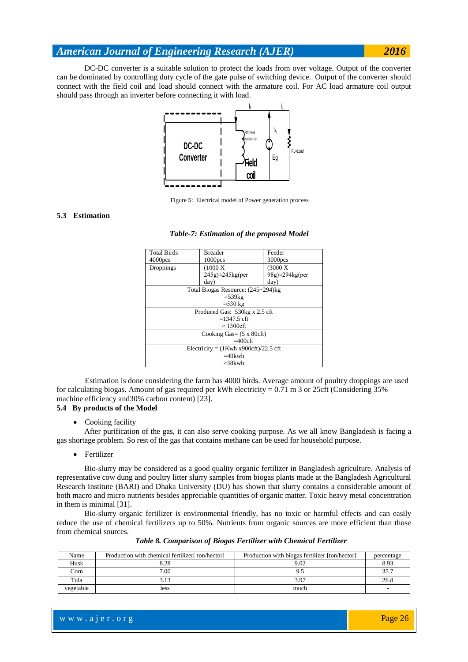DC-DC converter is a suitable solution to protect the loads from over voltage. Output of the converter can be dominated by controlling duty cycle of the gate pulse of switching device. Output of the converter should connect with the field coil and load should connect with the armature coil. For AC load armature coil output should pass through an inverter before connecting it with load.



Figure 5: Electrical model of Power generation process

#### **5.3 Estimation**

#### *Table-7: Estimation of the proposed Model*

| <b>Total Birds</b>                          | <b>Breader</b>                     | Feeder                       |  |  |  |  |  |
|---------------------------------------------|------------------------------------|------------------------------|--|--|--|--|--|
| $4000$ pcs                                  | 1000 <sub>pos</sub>                | $3000$ pcs                   |  |  |  |  |  |
| Droppings                                   | (1000 X)                           | $(3000 \text{ X})$           |  |  |  |  |  |
|                                             | $245g$ $\approx$ $245kg$ (per      | $98g$ $\approx$ $294kg$ (per |  |  |  |  |  |
|                                             | day)                               | day)                         |  |  |  |  |  |
|                                             | Total Biogas Resource: (245+294)kg |                              |  |  |  |  |  |
|                                             | $=$ 539 $k$ g                      |                              |  |  |  |  |  |
|                                             | $\approx$ 530 kg                   |                              |  |  |  |  |  |
| Produced Gas: 530kg x 2.5 cft               |                                    |                              |  |  |  |  |  |
| $=1347.5$ cft                               |                                    |                              |  |  |  |  |  |
| $\approx$ 1300cft                           |                                    |                              |  |  |  |  |  |
| Cooking Gas= $(5 \times 80$ cft)            |                                    |                              |  |  |  |  |  |
| $=400$ cft                                  |                                    |                              |  |  |  |  |  |
| Electricity = $(1$ Kwh x900cft $)/22.5$ cft |                                    |                              |  |  |  |  |  |
| $=40$ kwh                                   |                                    |                              |  |  |  |  |  |
|                                             | $\approx$ 38kwh                    |                              |  |  |  |  |  |

Estimation is done considering the farm has 4000 birds. Average amount of poultry droppings are used for calculating biogas. Amount of gas required per kWh electricity =  $0.71$  m 3 or 25cft (Considering 35%) machine efficiency and30% carbon content) [23].

## **5.4 By products of the Model**

Cooking facility

After purification of the gas, it can also serve cooking purpose. As we all know Bangladesh is facing a gas shortage problem. So rest of the gas that contains methane can be used for household purpose.

• Fertilizer

Bio-slurry may be considered as a good quality organic fertilizer in Bangladesh agriculture. Analysis of representative cow dung and poultry litter slurry samples from biogas plants made at the Bangladesh Agricultural Research Institute (BARI) and Dhaka University (DU) has shown that slurry contains a considerable amount of both macro and micro nutrients besides appreciable quantities of organic matter. Toxic heavy metal concentration in them is minimal [31].

Bio-slurry organic fertilizer is environmental friendly, has no toxic or harmful effects and can easily reduce the use of chemical fertilizers up to 50%. Nutrients from organic sources are more efficient than those from chemical sources.

| Name      | Production with chemical fertilizer[ ton/hector] | Production with biogas fertilizer [ton/hector] | percentage |
|-----------|--------------------------------------------------|------------------------------------------------|------------|
| Husk      | 8.28                                             | 9.02                                           | 8.93       |
| Corn      | 7.00                                             |                                                | 35.7       |
| Tula      | 3.13                                             |                                                | 26.8       |
| vegetable | less                                             | much                                           |            |

*Table 8. Comparison of Biogas Fertilizer with Chemical Fertilizer*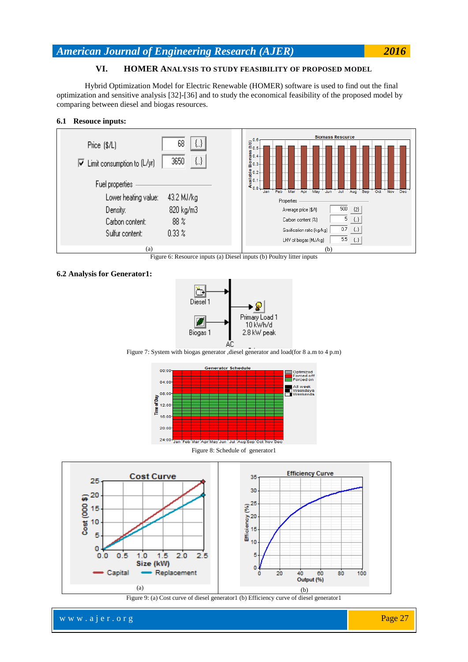## **VI. HOMER ANALYSIS TO STUDY FEASIBILITY OF PROPOSED MODEL**

Hybrid Optimization Model for Electric Renewable (HOMER) software is used to find out the final optimization and sensitive analysis [32]-[36] and to study the economical feasibility of the proposed model by comparing between diesel and biogas resources.

## **6.1 Resouce inputs:**



Figure 6: Resource inputs (a) Diesel inputs (b) Poultry litter inputs

## **6.2 Analysis for Generator1:**



Figure 7: System with biogas generator ,diesel generator and load(for 8 a.m to 4 p.m)





Figure 9: (a) Cost curve of diesel generator1 (b) Efficiency curve of diesel generator1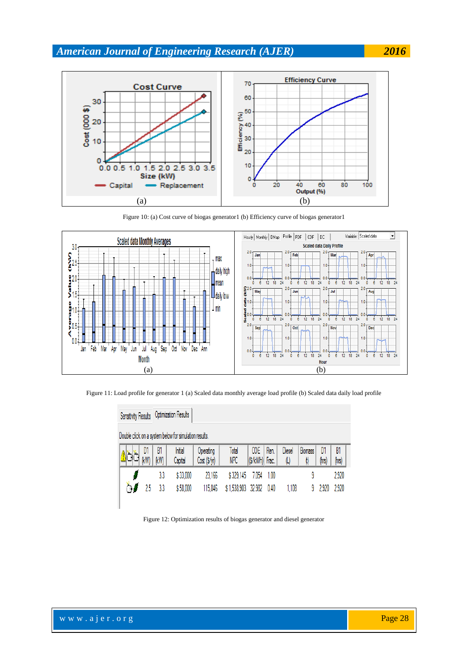

Figure 10: (a) Cost curve of biogas generator1 (b) Efficiency curve of biogas generator1



Figure 11: Load profile for generator 1 (a) Scaled data monthly average load profile (b) Scaled data daily load profile

| Sensitivity Results  Optimization Results              |            |                    |                        |                     |                              |      |                               |                                                                                              |             |             |
|--------------------------------------------------------|------------|--------------------|------------------------|---------------------|------------------------------|------|-------------------------------|----------------------------------------------------------------------------------------------|-------------|-------------|
| Double click on a system below for simulation results. |            |                    |                        |                     |                              |      |                               |                                                                                              |             |             |
| D1<br>(kW)                                             | В1<br>(kW) | Initial<br>Capital | Operating<br>Cost(S/y) | Total<br><b>NPC</b> | <b>COE</b><br>(\$/kWh) Frac. | Ren. | Diesel<br>$(\!\!\!\mu\!\!\!)$ | Biomass<br>$\left(\!\!\left\langle \!\! \right. \right\rangle \!\!\left\langle \!\! \right.$ | D1<br>(hrs) | B1<br>(hrs) |
|                                                        | 3.3        | \$33,000           | 23,166                 | \$329,145           | 7.054                        | 1.00 |                               | 9                                                                                            |             | 2,920       |
| ்ச<br>25                                               | 3.3        | \$58,000           | 115,846                | \$1,538,903         | 32.982                       | 0.40 | 1,108                         | 9                                                                                            | 2,920       | 2,920       |
|                                                        |            |                    |                        |                     |                              |      |                               |                                                                                              |             |             |

Figure 12: Optimization results of biogas generator and diesel generator

www.ajer.org Page 28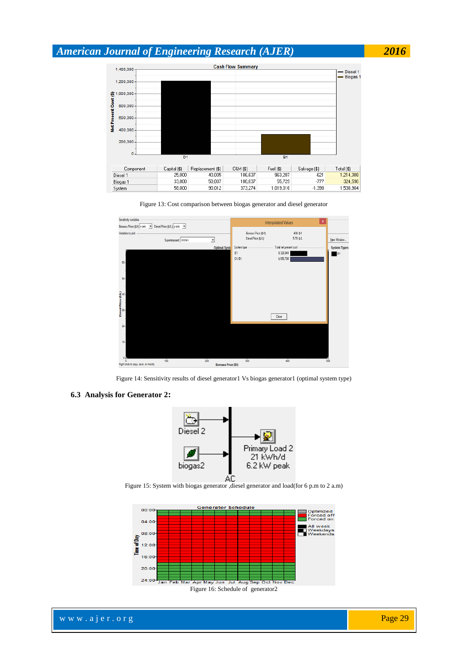





Figure 14: Sensitivity results of diesel generator1 Vs biogas generator1 (optimal system type)

### **6.3 Analysis for Generator 2:**



Figure 15: System with biogas generator ,diesel generator and load(for 6 p.m to 2 a.m)

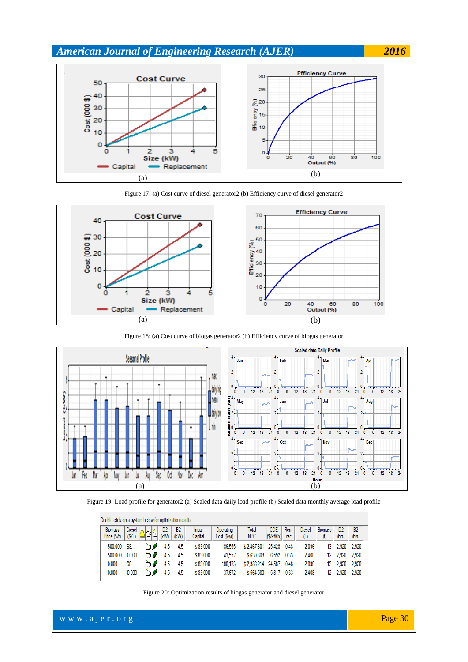





Figure 18: (a) Cost curve of biogas generator2 (b) Efficiency curve of biogas generator



Figure 19: Load profile for generator2 (a) Scaled data daily load profile (b) Scaled data monthly average load profile

|                                | Double click on a system below for optimization results. |         |            |                   |                    |                           |                     |                              |      |               |                            |                         |                         |  |  |
|--------------------------------|----------------------------------------------------------|---------|------------|-------------------|--------------------|---------------------------|---------------------|------------------------------|------|---------------|----------------------------|-------------------------|-------------------------|--|--|
| <b>Biomass</b><br>Price $(SA)$ | Diesel  <br>(S/L)                                        | اغتالها | D2<br>(kW) | <b>B2</b><br>(kW) | Initial<br>Capital | Operating<br>Cost (\$/yr) | Total<br><b>NPC</b> | <b>COE</b><br>(\$/kWh) Frac. | Ren. | Diesel<br>(L) | <b>Biomass</b><br>$^{(t)}$ | D <sub>2</sub><br>(hrs) | B <sub>2</sub><br>(hrs) |  |  |
| 500.000                        | 68                                                       |         | 4.5        | 4.5               | \$83,000           | 186.555                   | \$2.467.801         | 25.428                       | 0.48 | 2.096         | 13                         | 2.920                   | 2.920                   |  |  |
| 500.000                        | 0.000                                                    |         | 4.5        | 4.5               | \$83,000           | 43.557                    | \$639,808           | 6.592                        | 0.33 | 2.408         | 12                         | 2.920                   | 2.920                   |  |  |
| 0.000                          | 68                                                       | ንወ      | 4.5        | 4.5               | \$83,000           | 180.173                   | \$2.386.214         | 24.587                       | 0.48 | 2.096         | 13                         | 2.920                   | 2.920                   |  |  |
| 0.000                          | 0.000                                                    |         |            | 4.5               | \$83,000           | 37.672                    | \$564.580           | 5.817                        | 0.33 | 2.408         | 12                         | 2.920                   | 2.920                   |  |  |

Figure 20: Optimization results of biogas generator and diesel generator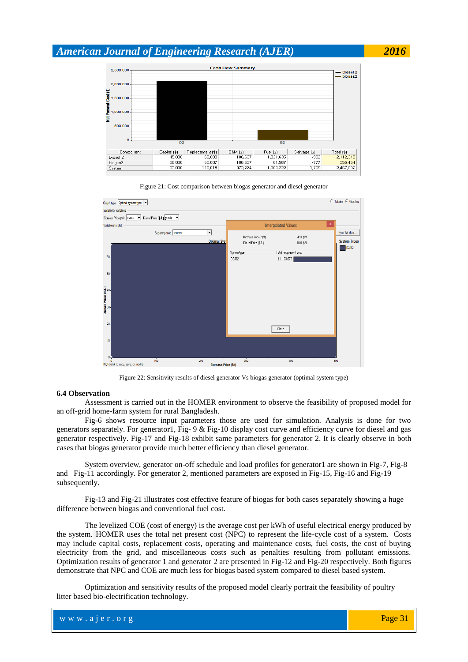

Figure 21: Cost comparison between biogas generator and diesel generator



Figure 22: Sensitivity results of diesel generator Vs biogas generator (optimal system type)

### **6.4 Observation**

Assessment is carried out in the HOMER environment to observe the feasibility of proposed model for an off-grid home-farm system for rural Bangladesh.

Fig-6 shows resource input parameters those are used for simulation. Analysis is done for two generators separately. For generator1, Fig- 9 & Fig-10 display cost curve and efficiency curve for diesel and gas generator respectively. Fig-17 and Fig-18 exhibit same parameters for generator 2. It is clearly observe in both cases that biogas generator provide much better efficiency than diesel generator.

System overview, generator on-off schedule and load profiles for generator1 are shown in Fig-7, Fig-8 and Fig-11 accordingly. For generator 2, mentioned parameters are exposed in Fig-15, Fig-16 and Fig-19 subsequently.

Fig-13 and Fig-21 illustrates cost effective feature of biogas for both cases separately showing a huge difference between biogas and conventional fuel cost.

The levelized COE (cost of energy) is the average cost per kWh of useful electrical energy produced by the system. HOMER uses the total net present cost (NPC) to represent the life-cycle cost of a system. Costs may include capital costs, replacement costs, operating and maintenance costs, fuel costs, the cost of buying electricity from the grid, and miscellaneous costs such as penalties resulting from pollutant emissions. Optimization results of generator 1 and generator 2 are presented in Fig-12 and Fig-20 respectively. Both figures demonstrate that NPC and COE are much less for biogas based system compared to diesel based system.

Optimization and sensitivity results of the proposed model clearly portrait the feasibility of poultry litter based bio-electrification technology.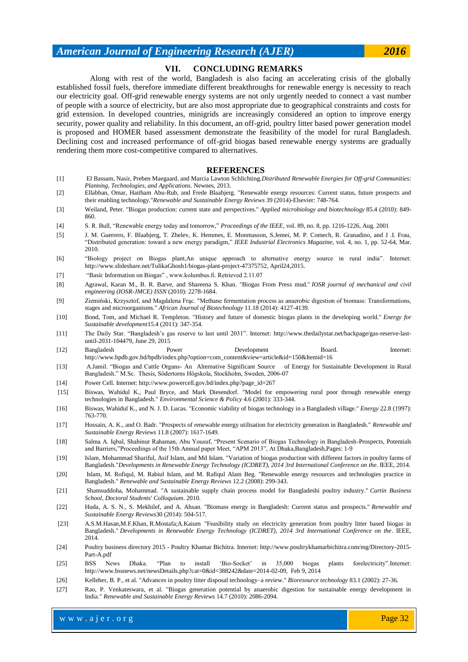### **VII. CONCLUDING REMARKS**

Along with rest of the world, Bangladesh is also facing an accelerating crisis of the globally established fossil fuels, therefore immediate different breakthroughs for renewable energy is necessity to reach our electricity goal. Off-grid renewable energy systems are not only urgently needed to connect a vast number of people with a source of electricity, but are also most appropriate due to geographical constraints and costs for grid extension. In developed countries, minigrids are increasingly considered an option to improve energy security, power quality and reliability. In this document, an off-grid, poultry litter based power generation model is proposed and HOMER based assessment demonstrate the feasibility of the model for rural Bangladesh. Declining cost and increased performance of off-grid biogas based renewable energy systems are gradually rendering them more cost-competitive compared to alternatives.

#### **REFERENCES**

- [1] El Bassam, Nasir, Preben Maegaard, and Marcia Lawton Schlichting.*Distributed Renewable Energies for Off-grid Communities: Planning, Technologies, and Applications*. Newnes, 2013.
- [2] Ellabban, Omar, Haitham Abu-Rub, and Frede Blaabjerg. "Renewable energy resources: Current status, future prospects and their enabling technology."*Renewable and Sustainable Energy Reviews* 39 (2014)-Elsevier: 748-764.
- [3] Weiland, Peter. "Biogas production: current state and perspectives." *Applied microbiology and biotechnology* 85.4 (2010): 849- 860.
- [4] S. R. Bull, "Renewable energy today and tomorrow," *Proceedings of the IEEE*, vol. 89, no. 8, pp. 1216-1226, Aug. 2001
- [5] J. M. Guerrero, F. Blaabjerg, T. Zhelev, K. Hemmes, E. Monmasson, S.Jemei, M. P. Comech, R. Granadino, and J .I. Frau, "Distributed generation: toward a new energy paradigm," *IEEE Industrial Electronics Magazine*, vol. 4, no. 1, pp. 52-64, Mar. 2010.
- [6] "Biology project on Biogas plant,An unique approach to alternative energy source in rural india". Internet: http://www.slideshare.net/TulikaGhosh1/biogas-plant-project-47375752, April24,2015.
- [7] ["Basic Information on Biogas"](http://www.kolumbus.fi/suomen.biokaasukeskus/en/enperus.html) , www.kolumbus.fi. Retrieved 2.11.07
- [8] Agrawal, Karan M., B. R. Barve, and Shareena S. Khan. "Biogas From Press mud." *IOSR journal of mechanical and civil engineering (IOSR-JMCE) ISSN* (2010): 2278-1684.
- [9] Ziemiński, Krzysztof, and Magdalena Frąc. "Methane fermentation process as anaerobic digestion of biomass: Transformations, stages and microorganisms." *African Journal of Biotechnology* 11.18 (2014): 4127-4139.
- [10] Bond, Tom, and Michael R. Templeton. "History and future of domestic biogas plants in the developing world." *Energy for Sustainable development*15.4 (2011): 347-354.
- [11] The Daily Star. "Bangladesh"s gas reserve to last until 2031". Internet: [http://www.thedailystar.net/backpage/gas-reserve-last](http://www.thedailystar.net/backpage/gas-reserve-last-until-2031-104479)[until-2031-104479,](http://www.thedailystar.net/backpage/gas-reserve-last-until-2031-104479) June 29, 2015
- [12] Bangladesh Power Development Board. Internet: [http://www.bpdb.gov.bd/bpdb/index.php?option=com\\_content&view=article&id=150&Itemid=16](http://www.bpdb.gov.bd/bpdb/index.php?option=com_content&view=article&id=150&Itemid=16)
- [13] A.Jamil. "Biogas and Cattle Organs- An Alternative Significant Source of Energy for Sustainable Development in Rural Bangladesh." M.Sc. Thesis, Södertorns Högskola, Stockholm, Sweden, 2006-07
- [14] Power Cell. Internet: [http://www.powercell.gov.bd/index.php?page\\_id=267](http://www.powercell.gov.bd/index.php?page_id=267)
- [15] Biswas, Wahidul K., Paul Bryce, and Mark Diesendorf. "Model for empowering rural poor through renewable energy technologies in Bangladesh." *Environmental Science & Policy* 4.6 (2001): 333-344.
- [16] Biswas, Wahidul K., and N. J. D. Lucas. "Economic viability of biogas technology in a Bangladesh village." *Energy* 22.8 (1997): 763-770.
- [17] Hossain, A. K., and O. Badr. "Prospects of renewable energy utilisation for electricity generation in Bangladesh." *Renewable and Sustainable Energy Reviews* 11.8 (2007): 1617-1649.
- [18] Salma A. Iqbal, Shahinur Rahaman, Abu Yousuf, "Present Scenario of Biogas Technology in Bangladesh-Prospects, Potentials and Barriers,"Proceedings of the 15th Annual paper Meet, "APM 2013", At Dhaka,Bangladesh,Pages: 1-9
- [19] Islam, Mohammad Shariful, Asif Islam, and Md Islam. "Variation of biogas production with different factors in poultry farms of Bangladesh."*Developments in Renewable Energy Technology (ICDRET), 2014 3rd International Conference on the*. IEEE, 2014.
- [20] Islam, M. Rofiqul, M. Rabiul Islam, and M. Rafiqul Alam Beg. "Renewable energy resources and technologies practice in Bangladesh." *Renewable and Sustainable Energy Reviews* 12.2 (2008): 299-343.
- [21] Shamsuddoha, Mohammad. "A sustainable supply chain process model for Bangladeshi poultry industry." *Curtin Business School, Doctoral Students' Colloquium*. 2010.
- [22] Huda, A. S. N., S. Mekhilef, and A. Ahsan. "Biomass energy in Bangladesh: Current status and prospects." *Renewable and Sustainable Energy Reviews*30 (2014): 504-517.
- [23] A.S.M.Hasan,M.F.Khan, [R.Mostafa;](http://ieeexplore.ieee.org.sci-hub.org/search/searchresult.jsp?searchWithin=%22Authors%22:.QT.Mostafa%2C%20Raqibul.QT.&newsearch=true)A.Kaium "Feasibility study on electricity generation from poultry litter based biogas in Bangladesh." *Developments in Renewable Energy Technology (ICDRET), 2014 3rd International Conference on the*. IEEE, 2014.
- [24] [Poultry business directory 2015 -](https://www.google.com.bd/url?sa=t&rct=j&q=&esrc=s&source=web&cd=1&cad=rja&uact=8&ved=0CBwQFjAAahUKEwi915zTnPbHAhXQao4KHWcgBCw&url=http%3A%2F%2Fwww.poultrykhamarbichitra.com%2Fmg%2FDirectory-2015-Part-A.pdf&usg=AFQjCNFRoEQFglnoIEOgfGyK9QiOn4QbCg) Poultry Khamar Bichitra. Internet: [http://www.poultrykhamarbichitra.com/mg/Directory-2015-](http://www.poultrykhamarbichitra.com/mg/Directory-2015-Part-A.pdf) [Part-A.pdf](http://www.poultrykhamarbichitra.com/mg/Directory-2015-Part-A.pdf)
- [25] BSS News Dhaka. "Plan to install "Bio-Socket" in 35,000 biogas plants forelectricity".Internet: [http://www.bssnews.net/newsDetails.php?cat=0&id=388242&date=2014-02-09,](http://www.bssnews.net/newsDetails.php?cat=0&id=388242&date=2014-02-09) Feb 9, 2014
- [26] Kelleher, B. P., et al. "Advances in poultry litter disposal technology–a review." *Bioresource technology* 83.1 (2002): 27-36.
- [27] Rao, P. Venkateswara, et al. "Biogas generation potential by anaerobic digestion for sustainable energy development in India." *Renewable and Sustainable Energy Reviews* 14.7 (2010): 2086-2094.